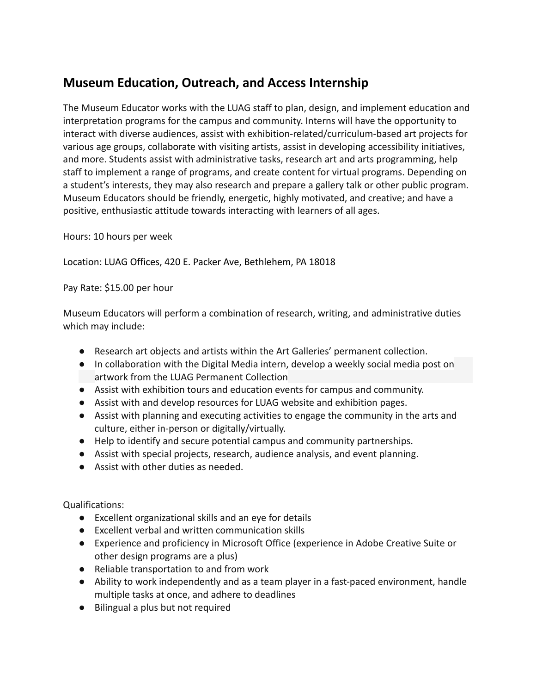## **Museum Education, Outreach, and Access Internship**

The Museum Educator works with the LUAG staff to plan, design, and implement education and interpretation programs for the campus and community. Interns will have the opportunity to interact with diverse audiences, assist with exhibition-related/curriculum-based art projects for various age groups, collaborate with visiting artists, assist in developing accessibility initiatives, and more. Students assist with administrative tasks, research art and arts programming, help staff to implement a range of programs, and create content for virtual programs. Depending on a student's interests, they may also research and prepare a gallery talk or other public program. Museum Educators should be friendly, energetic, highly motivated, and creative; and have a positive, enthusiastic attitude towards interacting with learners of all ages.

Hours: 10 hours per week

Location: LUAG Offices, 420 E. Packer Ave, Bethlehem, PA 18018

Pay Rate: \$15.00 per hour

Museum Educators will perform a combination of research, writing, and administrative duties which may include:

- Research art objects and artists within the Art Galleries' permanent collection.
- In collaboration with the Digital Media intern, develop a weekly social media post on artwork from the LUAG Permanent Collection
- Assist with exhibition tours and education events for campus and community.
- Assist with and develop resources for LUAG website and exhibition pages.
- Assist with planning and executing activities to engage the community in the arts and culture, either in-person or digitally/virtually.
- Help to identify and secure potential campus and community partnerships.
- Assist with special projects, research, audience analysis, and event planning.
- Assist with other duties as needed.

Qualifications:

- Excellent organizational skills and an eye for details
- Excellent verbal and written communication skills
- Experience and proficiency in Microsoft Office (experience in Adobe Creative Suite or other design programs are a plus)
- Reliable transportation to and from work
- Ability to work independently and as a team player in a fast-paced environment, handle multiple tasks at once, and adhere to deadlines
- Bilingual a plus but not required